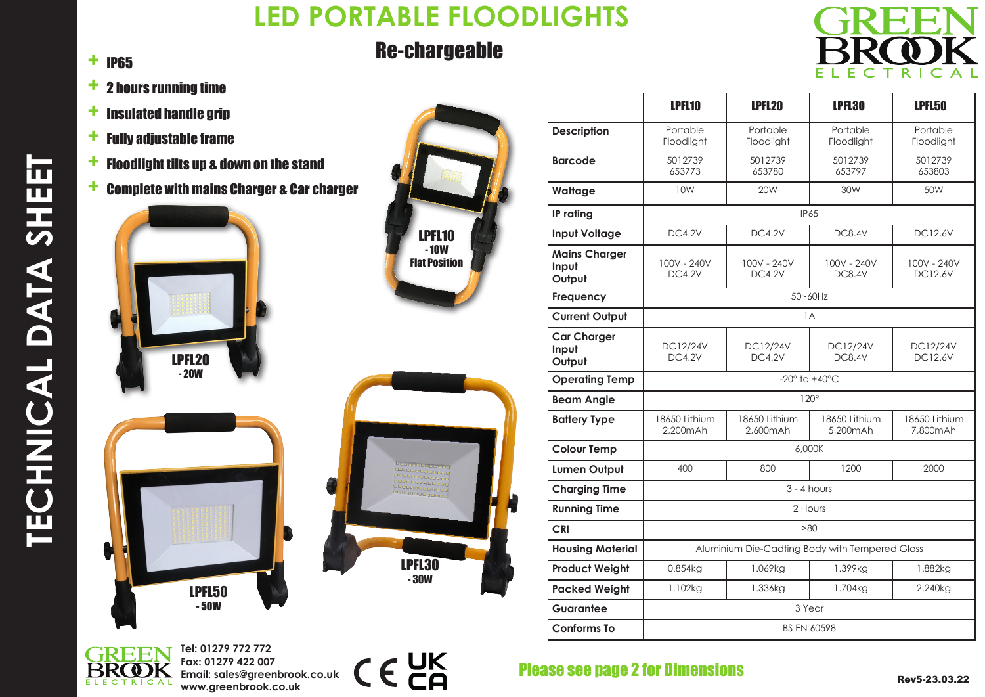# **LED PORTABLE FLOODLIGHTS**

## Re-chargeable



 $\blacksquare$ 

 $\mathbf{I}$ 

#### + IP65

- + 2 hours running time
- $+$  Insulated handle grip
- $+$  Fully adjustable frame
- $+$  Floodlight tilts up & down on the stand
- + Complete with mains Charger & Car charger



- 50W



|  | <u>alajajajajajajajajajaja</u><br>выеваетесь с<br>ровоевременне<br>annonananan<br>оверевоеверев<br>меньеновенной |  |
|--|------------------------------------------------------------------------------------------------------------------|--|
|  | <b>LPFL30</b><br>$-30W$                                                                                          |  |

|                                         | LPFL <sub>10</sub>                             | LPFL20                       | LPFL30                           | LPFL50                        |  |
|-----------------------------------------|------------------------------------------------|------------------------------|----------------------------------|-------------------------------|--|
| <b>Description</b>                      | Portable<br>Floodlight                         | Portable<br>Floodlight       | Portable<br>Floodlight           | Portable<br>Floodlight        |  |
| <b>Barcode</b>                          | 5012739<br>653773                              | 5012739<br>653780            | 5012739<br>653797                | 5012739<br>653803             |  |
| Wattage                                 | 10W                                            | 20W                          | 30W                              | 50W                           |  |
| IP rating                               | IP65                                           |                              |                                  |                               |  |
| <b>Input Voltage</b>                    | <b>DC4.2V</b>                                  | <b>DC4.2V</b>                | <b>DC8.4V</b>                    | <b>DC12.6V</b>                |  |
| <b>Mains Charger</b><br>Input<br>Output | 100V - 240V<br><b>DC4.2V</b>                   | 100V - 240V<br><b>DC4.2V</b> | 100V - 240V<br><b>DC8.4V</b>     | 100V - 240V<br><b>DC12.6V</b> |  |
| <b>Frequency</b>                        | 50~60Hz                                        |                              |                                  |                               |  |
| <b>Current Output</b>                   | 1A                                             |                              |                                  |                               |  |
| <b>Car Charger</b><br>Input<br>Output   | <b>DC12/24V</b><br><b>DC4.2V</b>               | DC12/24V<br><b>DC4.2V</b>    | <b>DC12/24V</b><br><b>DC8.4V</b> | DC12/24V<br><b>DC12.6V</b>    |  |
| <b>Operating Temp</b>                   | -20 $^{\circ}$ to +40 $^{\circ}$ C             |                              |                                  |                               |  |
| <b>Beam Angle</b>                       | $120^\circ$                                    |                              |                                  |                               |  |
| <b>Battery Type</b>                     | 18650 Lithium<br>2.200mAh                      | 18650 Lithium<br>2.600mAh    | 18650 Lithium<br>5.200mAh        | 18650 Lithium<br>7.800mAh     |  |
| <b>Colour Temp</b>                      | 6,000K                                         |                              |                                  |                               |  |
| <b>Lumen Output</b>                     | 400                                            | 800                          | 1200                             | 2000                          |  |
| <b>Charging Time</b>                    | $3 - 4$ hours                                  |                              |                                  |                               |  |
| <b>Running Time</b>                     | 2 Hours                                        |                              |                                  |                               |  |
| <b>CRI</b>                              | >80                                            |                              |                                  |                               |  |
| <b>Housing Material</b>                 | Aluminium Die-Cadting Body with Tempered Glass |                              |                                  |                               |  |
| <b>Product Weight</b>                   | 0.854kg                                        | 1.069kg                      | 1.399kg                          | 1.882kg                       |  |
| <b>Packed Weight</b>                    | 1.102kg                                        | 1.336kg                      | 1.704kg                          | 2.240kg                       |  |
| Guarantee                               | 3 Year                                         |                              |                                  |                               |  |
| <b>Conforms To</b>                      | <b>BS EN 60598</b>                             |                              |                                  |                               |  |



**Tel: 01279 772 772 Fax: 01279 422 007 Email: sales@greenbrook.co.uk www.greenbrook.co.uk**



#### Please see page 2 for Dimensions

 $\mathbf{I}$ 

 $\overline{1}$